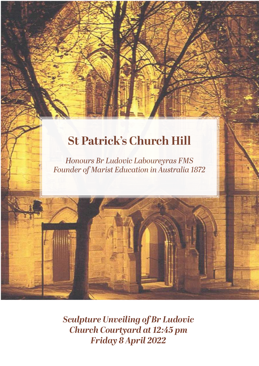## **St Patrick's Church Hill**

*Honours Br Ludovic Laboureyras FMS Founder of Marist Education in Australia 1872*

*Sculpture Unveiling of Br Ludovic Church Courtyard at 12:45 pm Friday 8 April 2022*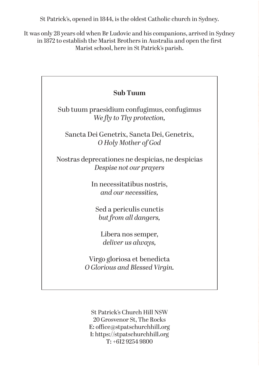St Patrick's, opened in 1844, is the oldest Catholic church in Sydney.

It was only 28 years old when Br Ludovic and his companions, arrived in Sydney in 1872 to establish the Marist Brothers in Australia and open the first Marist school, here in St Patrick's parish.

| <b>Sub Tuum</b>                                                             |
|-----------------------------------------------------------------------------|
| Sub tuum praesidium confugimus, confugimus<br>We fly to Thy protection,     |
| Sancta Dei Genetrix, Sancta Dei, Genetrix,<br>O Holy Mother of God          |
| Nostras deprecationes ne despicias, ne despicias<br>Despise not our prayers |
| In necessitatibus nostris,<br>and our necessities,                          |
| Sed a periculis cunctis<br>but from all dangers,                            |
| Libera nos semper,<br>deliver us always,                                    |
| Virgo gloriosa et benedicta<br>O Glorious and Blessed Virgin.               |
|                                                                             |

St Patrick's Church Hill NSW 20 Grosvenor St, The Rocks **E:** office@stpatschurchhill.org **I:** https://stpatschurchhill.org **T:** +612 9254 9800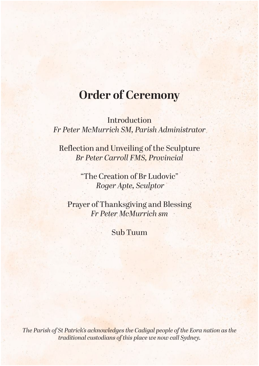#### **Order of Ceremony**

**Introduction** *Fr Peter McMurrich SM, Parish Administrator*

Reflection and Unveiling of the Sculpture *Br Peter Carroll FMS, Provincial* 

> "The Creation of Br Ludovic"  *Roger Apte, Sculptor*

Prayer of Thanksgiving and Blessing *Fr Peter McMurrich sm*

Sub Tuum

*The Parish of St Patrick's acknowledges the Cadigal people of the Eora nation as the traditional custodians of this place we now call Sydney.*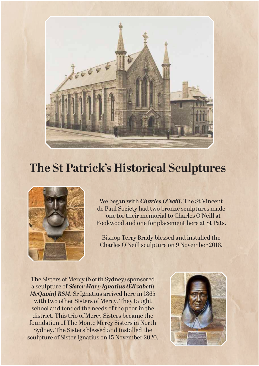

#### **The St Patrick's Historical Sculptures**



We began with *Charles O'Neill*. The St Vincent de Paul Society had two bronze sculptures made – one for their memorial to Charles O'Neill at Rookwood and one for placement here at St Pats.

Bishop Terry Brady blessed and installed the Charles O'Neill sculpture on 9 November 2018.

The Sisters of Mercy (North Sydney) sponsored a sculpture of *Sister Mary Ignatius (Elizabeth McQuoin) RSM*. Sr Ignatius arrived here in 1865 with two other Sisters of Mercy. They taught school and tended the needs of the poor in the district. This trio of Mercy Sisters became the foundation of The Monte Mercy Sisters in North Sydney. The Sisters blessed and installed the sculpture of Sister Ignatius on 15 November 2020.

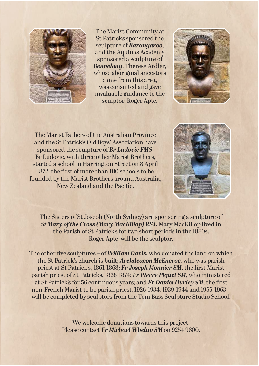

The Marist Community at St Patricks sponsored the sculpture of *Barangaroo*, and the Aquinas Academy sponsored a sculpture of *Bennelong*. Therese Ardler, whose aboriginal ancestors came from this area, was consulted and gave invaluable guidance to the sculptor, Roger Apte.



The Marist Fathers of the Australian Province and the St Patrick's Old Boys' Association have sponsored the sculpture of *Br Ludovic FMS*. Br Ludovic, with three other Marist Brothers, started a school in Harrington Street on 8 April 1872, the first of more than 100 schools to be founded by the Marist Brothers around Australia, New Zealand and the Pacific.



The Sisters of St Joseph (North Sydney) are sponsoring a sculpture of *St Mary of the Cross (Mary MacKillop) RSJ*. Mary MacKillop lived in the Parish of St Patrick's for two short periods in the 1880s. Roger Apte will be the sculptor.

The other five sculptures – of *William Davis*, who donated the land on which the St Patrick's church is built; *Archdeacon McEncroe*, who was parish priest at St Patrick's, 1861-1868*; Fr Joseph Monnier SM*, the first Marist parish priest of St Patricks, 1868-1874; *Fr Pierre Piquet SM*, who ministered at St Patrick's for 56 continuous years; and *Fr Daniel Hurley SM*, the first non-French Marist to be parish priest, 1926-1934, 1939-1944 and 1955-1963 – will be completed by sculptors from the Tom Bass Sculpture Studio School.

> We welcome donations towards this project. Please contact *Fr Michael Whelan SM* on 9254 9800.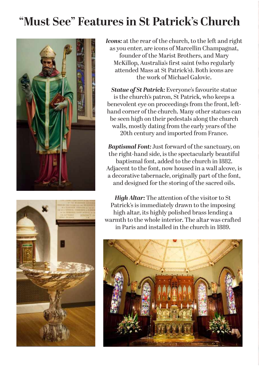# **"Must See" Features in St Patrick's Church**





*Icons:* at the rear of the church, to the left and right as you enter, are icons of Marcellin Champagnat, founder of the Marist Brothers, and Mary McKillop, Australia's first saint (who regularly attended Mass at St Patrick's). Both icons are the work of Michael Galovic.

*Statue of St Patrick:* Everyone's favourite statue is the church's patron, St Patrick, who keeps a benevolent eye on proceedings from the front, lefthand corner of the church. Many other statues can be seen high on their pedestals along the church walls, mostly dating from the early years of the 20th century and imported from France.

*Baptismal Font:* Just forward of the sanctuary, on the right-hand side, is the spectacularly beautiful baptismal font, added to the church in 1882. Adjacent to the font, now housed in a wall alcove, is a decorative tabernacle, originally part of the font, and designed for the storing of the sacred oils.

*High Altar:* The attention of the visitor to St Patrick's is immediately drawn to the imposing high altar, its highly polished brass lending a warmth to the whole interior. The altar was crafted in Paris and installed in the church in 1889.

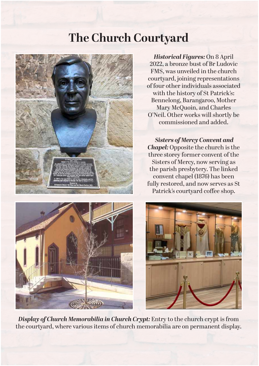#### **The Church Courtyard**



*Historical Figures:* On 8 April 2022, a bronze bust of Br Ludovic FMS, was unveiled in the church courtyard, joining representations of four other individuals associated with the history of St Patrick's: Bennelong, Barangaroo, Mother Mary McQuoin, and Charles O'Neil. Other works will shortly be commissioned and added.

 *Sisters of Mercy Convent and Chapel:* Opposite the church is the three storey former convent of the Sisters of Mercy, now serving as the parish presbytery. The linked convent chapel (1876) has been fully restored, and now serves as St Patrick's courtyard coffee shop.





*Display of Church Memorabilia in Church Crypt:* Entry to the church crypt is from the courtyard, where various items of church memorabilia are on permanent display.